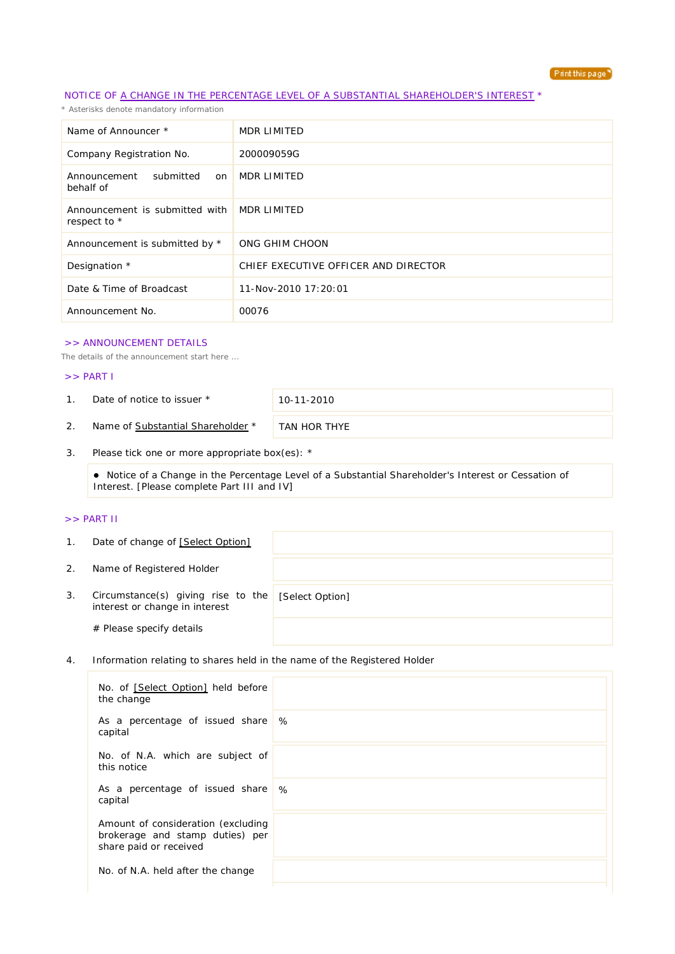

## NOTICE OF A CHANGE IN THE PERCENTAGE LEVEL OF A SUBSTANTIAL SHAREHOLDER'S INTEREST \*

*\* Asterisks denote mandatory information*

| Name of Announcer *                            | MDR LIMITED                          |
|------------------------------------------------|--------------------------------------|
| Company Registration No.                       | 200009059G                           |
| submitted<br>Announcement<br>on<br>behalf of   | MDR LIMITED                          |
| Announcement is submitted with<br>respect to * | MDR LIMITED                          |
| Announcement is submitted by *                 | ONG GHIM CHOON                       |
| Designation *                                  | CHIEF EXECUTIVE OFFICER AND DIRECTOR |
| Date & Time of Broadcast                       | 11-Nov-2010 17:20:01                 |
| Announcement No.                               | 00076                                |

#### >> ANNOUNCEMENT DETAILS

*The details of the announcement start here ...*

### >> PART I

1. Date of notice to issuer \* 10-11-2010

2. Name of Substantial Shareholder \* TAN HOR THYE

3. Please tick one or more appropriate box(es): \*

 Notice of a Change in the Percentage Level of a Substantial Shareholder's Interest or Cessation of Interest. [Please complete Part III and IV]

### >> PART II

| $\mathbf{1}$ . | Date of change of [Select Option]                                    |                 |
|----------------|----------------------------------------------------------------------|-----------------|
| 2.             | Name of Registered Holder                                            |                 |
| 3.             | Circumstance(s) giving rise to the<br>interest or change in interest | [Select Option] |
|                | # Please specify details                                             |                 |

4. Information relating to shares held in the name of the Registered Holder

| No. of [Select Option] held before<br>the change                                                |   |
|-------------------------------------------------------------------------------------------------|---|
| As a percentage of issued share<br>capital                                                      | % |
| No. of N.A. which are subject of<br>this notice                                                 |   |
| As a percentage of issued share \%<br>capital                                                   |   |
| Amount of consideration (excluding<br>brokerage and stamp duties) per<br>share paid or received |   |
| No. of N.A. held after the change                                                               |   |